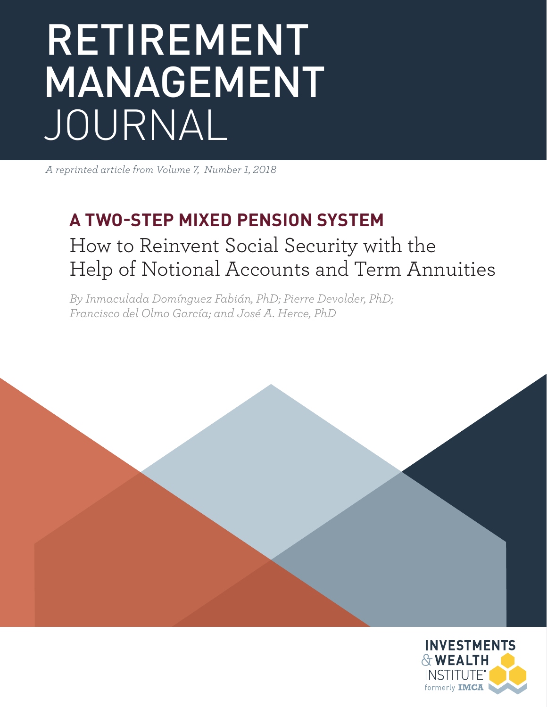# RETIREMENT MANAGEMENT JOURNAL

*A reprinted article from Volume 7, Number 1, 2018*

### **A TWO-STEP MIXED PENSION SYSTEM**

### How to Reinvent Social Security with the Help of Notional Accounts and Term Annuities

*By Inmaculada Domínguez Fabián, PhD; Pierre Devolder, PhD; Francisco del Olmo García; and José A. Herce, PhD*

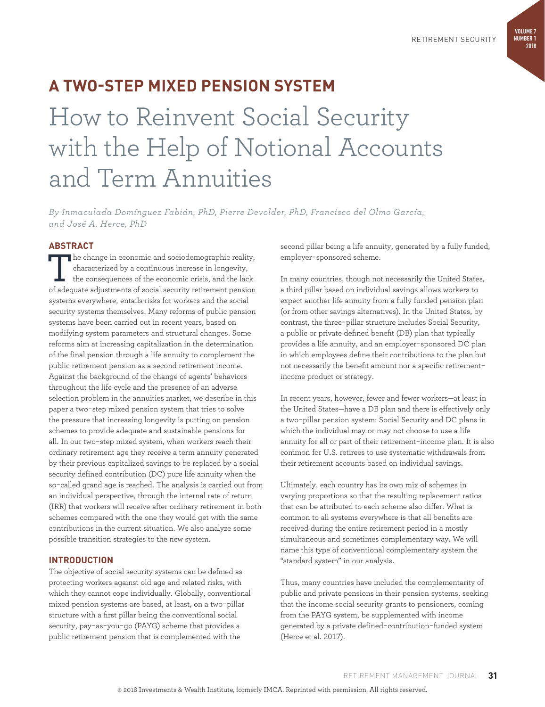#### **VOLUME 7 NUMBER 1 2018**

### **A TWO-STEP MIXED PENSION SYSTEM**

## How to Reinvent Social Security with the Help of Notional Accounts and Term Annuities

*By Inmaculada Domínguez Fabián, PhD, Pierre Devolder, PhD, Francisco del Olmo García, and José A. Herce, PhD*

#### **ABSTRACT**

The change in economic and sociodemographic reality, characterized by a continuous increase in longevity, the consequences of the economic crisis, and the lack of adequate adjustments of social security retirement pension systems everywhere, entails risks for workers and the social security systems themselves. Many reforms of public pension systems have been carried out in recent years, based on modifying system parameters and structural changes. Some reforms aim at increasing capitalization in the determination of the final pension through a life annuity to complement the public retirement pension as a second retirement income. Against the background of the change of agents' behaviors throughout the life cycle and the presence of an adverse selection problem in the annuities market, we describe in this paper a two-step mixed pension system that tries to solve the pressure that increasing longevity is putting on pension schemes to provide adequate and sustainable pensions for all. In our two-step mixed system, when workers reach their ordinary retirement age they receive a term annuity generated by their previous capitalized savings to be replaced by a social security defined contribution (DC) pure life annuity when the so-called grand age is reached. The analysis is carried out from an individual perspective, through the internal rate of return (IRR) that workers will receive after ordinary retirement in both schemes compared with the one they would get with the same contributions in the current situation. We also analyze some possible transition strategies to the new system.

#### **INTRODUCTION**

The objective of social security systems can be defined as protecting workers against old age and related risks, with which they cannot cope individually. Globally, conventional mixed pension systems are based, at least, on a two-pillar structure with a first pillar being the conventional social security, pay-as-you-go (PAYG) scheme that provides a public retirement pension that is complemented with the

second pillar being a life annuity, generated by a fully funded, employer-sponsored scheme.

In many countries, though not necessarily the United States, a third pillar based on individual savings allows workers to expect another life annuity from a fully funded pension plan (or from other savings alternatives). In the United States, by contrast, the three-pillar structure includes Social Security, a public or private defined benefit (DB) plan that typically provides a life annuity, and an employer-sponsored DC plan in which employees define their contributions to the plan but not necessarily the benefit amount nor a specific retirementincome product or strategy.

In recent years, however, fewer and fewer workers—at least in the United States—have a DB plan and there is effectively only a two-pillar pension system: Social Security and DC plans in which the individual may or may not choose to use a life annuity for all or part of their retirement-income plan. It is also common for U.S. retirees to use systematic withdrawals from their retirement accounts based on individual savings.

Ultimately, each country has its own mix of schemes in varying proportions so that the resulting replacement ratios that can be attributed to each scheme also differ. What is common to all systems everywhere is that all benefits are received during the entire retirement period in a mostly simultaneous and sometimes complementary way. We will name this type of conventional complementary system the "standard system" in our analysis.

Thus, many countries have included the complementarity of public and private pensions in their pension systems, seeking that the income social security grants to pensioners, coming from the PAYG system, be supplemented with income generated by a private defined-contribution-funded system (Herce et al. 2017).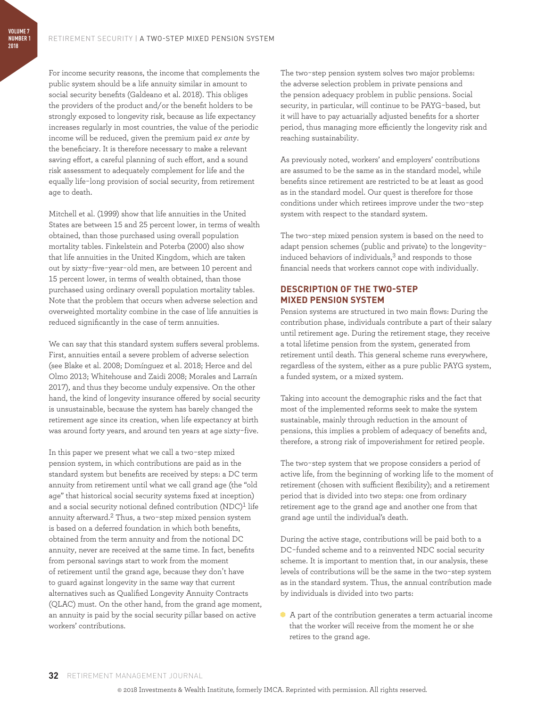**VOLUME 7 NUMBER 1 2018**

> For income security reasons, the income that complements the public system should be a life annuity similar in amount to social security benefits (Galdeano et al. 2018). This obliges the providers of the product and/or the benefit holders to be strongly exposed to longevity risk, because as life expectancy increases regularly in most countries, the value of the periodic income will be reduced, given the premium paid *ex ante* by the beneficiary. It is therefore necessary to make a relevant saving effort, a careful planning of such effort, and a sound risk assessment to adequately complement for life and the equally life-long provision of social security, from retirement age to death.

> Mitchell et al. (1999) show that life annuities in the United States are between 15 and 25 percent lower, in terms of wealth obtained, than those purchased using overall population mortality tables. Finkelstein and Poterba (2000) also show that life annuities in the United Kingdom, which are taken out by sixty-five-year-old men, are between 10 percent and 15 percent lower, in terms of wealth obtained, than those purchased using ordinary overall population mortality tables. Note that the problem that occurs when adverse selection and overweighted mortality combine in the case of life annuities is reduced significantly in the case of term annuities.

> We can say that this standard system suffers several problems. First, annuities entail a severe problem of adverse selection (see Blake et al. 2008; Domínguez et al. 2018; Herce and del Olmo 2013; Whitehouse and Zaidi 2008; Morales and Larraín 2017), and thus they become unduly expensive. On the other hand, the kind of longevity insurance offered by social security is unsustainable, because the system has barely changed the retirement age since its creation, when life expectancy at birth was around forty years, and around ten years at age sixty-five.

> In this paper we present what we call a two-step mixed pension system, in which contributions are paid as in the standard system but benefits are received by steps: a DC term annuity from retirement until what we call grand age (the "old age" that historical social security systems fixed at inception) and a social security notional defined contribution (NDC)<sup>1</sup> life annuity afterward.2 Thus, a two-step mixed pension system is based on a deferred foundation in which both benefits, obtained from the term annuity and from the notional DC annuity, never are received at the same time. In fact, benefits from personal savings start to work from the moment of retirement until the grand age, because they don't have to guard against longevity in the same way that current alternatives such as Qualified Longevity Annuity Contracts (QLAC) must. On the other hand, from the grand age moment, an annuity is paid by the social security pillar based on active workers' contributions.

The two-step pension system solves two major problems: the adverse selection problem in private pensions and the pension adequacy problem in public pensions. Social security, in particular, will continue to be PAYG-based, but it will have to pay actuarially adjusted benefits for a shorter period, thus managing more efficiently the longevity risk and reaching sustainability.

As previously noted, workers' and employers' contributions are assumed to be the same as in the standard model, while benefits since retirement are restricted to be at least as good as in the standard model. Our quest is therefore for those conditions under which retirees improve under the two-step system with respect to the standard system.

The two-step mixed pension system is based on the need to adapt pension schemes (public and private) to the longevityinduced behaviors of individuals,<sup>3</sup> and responds to those financial needs that workers cannot cope with individually.

#### **DESCRIPTION OF THE TWO-STEP MIXED PENSION SYSTEM**

Pension systems are structured in two main flows: During the contribution phase, individuals contribute a part of their salary until retirement age. During the retirement stage, they receive a total lifetime pension from the system, generated from retirement until death. This general scheme runs everywhere, regardless of the system, either as a pure public PAYG system, a funded system, or a mixed system.

Taking into account the demographic risks and the fact that most of the implemented reforms seek to make the system sustainable, mainly through reduction in the amount of pensions, this implies a problem of adequacy of benefits and, therefore, a strong risk of impoverishment for retired people.

The two-step system that we propose considers a period of active life, from the beginning of working life to the moment of retirement (chosen with sufficient flexibility); and a retirement period that is divided into two steps: one from ordinary retirement age to the grand age and another one from that grand age until the individual's death.

During the active stage, contributions will be paid both to a DC-funded scheme and to a reinvented NDC social security scheme. It is important to mention that, in our analysis, these levels of contributions will be the same in the two-step system as in the standard system. Thus, the annual contribution made by individuals is divided into two parts:

A A part of the contribution generates a term actuarial income that the worker will receive from the moment he or she retires to the grand age.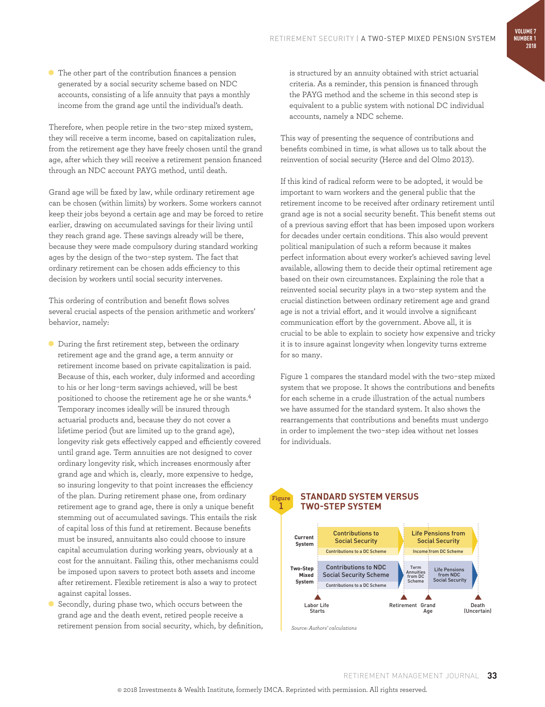A The other part of the contribution finances a pension generated by a social security scheme based on NDC accounts, consisting of a life annuity that pays a monthly income from the grand age until the individual's death.

Therefore, when people retire in the two-step mixed system, they will receive a term income, based on capitalization rules, from the retirement age they have freely chosen until the grand age, after which they will receive a retirement pension financed through an NDC account PAYG method, until death.

Grand age will be fixed by law, while ordinary retirement age can be chosen (within limits) by workers. Some workers cannot keep their jobs beyond a certain age and may be forced to retire earlier, drawing on accumulated savings for their living until they reach grand age. These savings already will be there, because they were made compulsory during standard working ages by the design of the two-step system. The fact that ordinary retirement can be chosen adds efficiency to this decision by workers until social security intervenes.

This ordering of contribution and benefit flows solves several crucial aspects of the pension arithmetic and workers' behavior, namely:

- A During the first retirement step, between the ordinary retirement age and the grand age, a term annuity or retirement income based on private capitalization is paid. Because of this, each worker, duly informed and according to his or her long-term savings achieved, will be best positioned to choose the retirement age he or she wants.4 Temporary incomes ideally will be insured through actuarial products and, because they do not cover a lifetime period (but are limited up to the grand age), longevity risk gets effectively capped and efficiently covered until grand age. Term annuities are not designed to cover ordinary longevity risk, which increases enormously after grand age and which is, clearly, more expensive to hedge, so insuring longevity to that point increases the efficiency of the plan. During retirement phase one, from ordinary retirement age to grand age, there is only a unique benefit stemming out of accumulated savings. This entails the risk of capital loss of this fund at retirement. Because benefits must be insured, annuitants also could choose to insure capital accumulation during working years, obviously at a cost for the annuitant. Failing this, other mechanisms could be imposed upon savers to protect both assets and income after retirement. Flexible retirement is also a way to protect against capital losses.
- Secondly, during phase two, which occurs between the grand age and the death event, retired people receive a retirement pension from social security, which, by definition,

is structured by an annuity obtained with strict actuarial criteria. As a reminder, this pension is financed through the PAYG method and the scheme in this second step is equivalent to a public system with notional DC individual accounts, namely a NDC scheme.

This way of presenting the sequence of contributions and benefits combined in time, is what allows us to talk about the reinvention of social security (Herce and del Olmo 2013).

If this kind of radical reform were to be adopted, it would be important to warn workers and the general public that the retirement income to be received after ordinary retirement until grand age is not a social security benefit. This benefit stems out of a previous saving effort that has been imposed upon workers for decades under certain conditions. This also would prevent political manipulation of such a reform because it makes perfect information about every worker's achieved saving level available, allowing them to decide their optimal retirement age based on their own circumstances. Explaining the role that a reinvented social security plays in a two-step system and the crucial distinction between ordinary retirement age and grand age is not a trivial effort, and it would involve a significant communication effort by the government. Above all, it is crucial to be able to explain to society how expensive and tricky it is to insure against longevity when longevity turns extreme for so many.

Figure 1 compares the standard model with the two-step mixed system that we propose. It shows the contributions and benefits for each scheme in a crude illustration of the actual numbers we have assumed for the standard system. It also shows the rearrangements that contributions and benefits must undergo in order to implement the two-step idea without net losses for individuals.

#### **STANDARD SYSTEM VERSUS TWO-STEP SYSTEM**



*Source: Authors' calculations*

**Figure 1**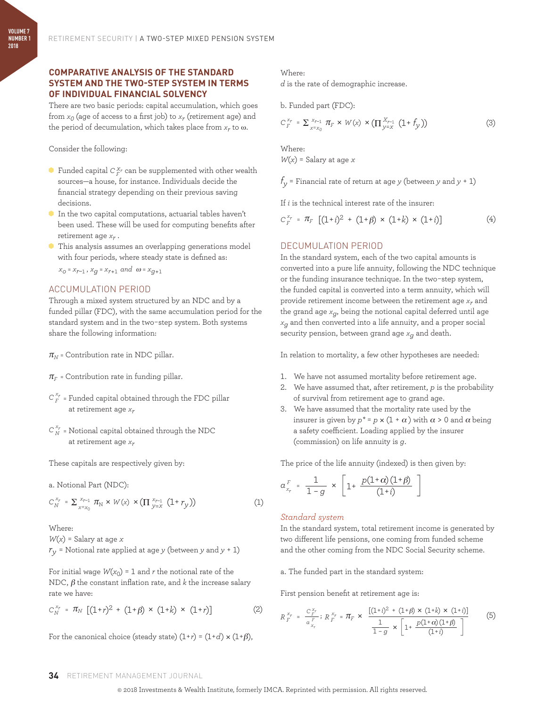#### **COMPARATIVE ANALYSIS OF THE STANDARD SYSTEM AND THE TWO-STEP SYSTEM IN TERMS OF INDIVIDUAL FINANCIAL SOLVENCY**

There are two basic periods: capital accumulation, which goes from  $x_0$  (age of access to a first job) to  $x_r$  (retirement age) and the period of decumulation, which takes place from *xr* to ω.

Consider the following:

- $\bullet$  Funded capital  $C_F^{\chi_r}$  can be supplemented with other wealth sources—a house, for instance. Individuals decide the financial strategy depending on their previous saving decisions.
- A In the two capital computations, actuarial tables haven't been used. These will be used for computing benefits after retirement age *xr* .
- A This analysis assumes an overlapping generations model with four periods, where steady state is defined as:  $x_0 = x_{r-1}$ ,  $x_q = x_{r+1}$  and  $\omega = x_{q+1}$

#### ACCUMULATION PERIOD

Through a mixed system structured by an NDC and by a funded pillar (FDC), with the same accumulation period for the standard system and in the two-step system. Both systems share the following information:

 $\pi_N$  = Contribution rate in NDC pillar.

- $\pi_F$  = Contribution rate in funding pillar.
- $C_F^{\,x_r}$  = Funded capital obtained through the FDC pillar at retirement age *xr*
- $C_N^{x_r}$  = Notional capital obtained through the NDC at retirement age *xr*

These capitals are respectively given by:

a. Notional Part (NDC):

$$
C_N^{x_r} = \sum_{x=x_0}^{x_{r-1}} \pi_N \times W(x) \times (\Pi_{y=x}^{x_{r-1}} (1+r_y))
$$
 (1)

Where:

 $W(x)$  = Salary at age *x* 

 $r_y$  = Notional rate applied at age *y* (between *y* and  $y + 1$ )

For initial wage  $W(x_0) = 1$  and *r* the notional rate of the NDC,  $\beta$  the constant inflation rate, and  $k$  the increase salary rate we have:

$$
C_N^{x_r} = \pi_N \left[ (1+r)^2 + (1+\beta) \times (1+k) \times (1+r) \right] \tag{2}
$$

For the canonical choice (steady state)  $(1+r) = (1+d) \times (1+\beta)$ ,

Where:

*d* is the rate of demographic increase.

b. Funded part (FDC):

$$
C_F^{x_r} = \sum_{x=x_0}^{x_{r-1}} \pi_F \times W(x) \times (\Pi_{y=x}^{x_{r-1}} (1+f_y))
$$
 (3)

Where:

 $W(x)$  = Salary at age *x* 

 $f_y$  = Financial rate of return at age *y* (between *y* and *y* + 1)

If *i* is the technical interest rate of the insurer:

$$
C_F^{x_r} = \pi_F \left[ (1+i)^2 + (1+\beta) \times (1+k) \times (1+i) \right] \tag{4}
$$

#### DECUMULATION PERIOD

In the standard system, each of the two capital amounts is converted into a pure life annuity, following the NDC technique or the funding insurance technique. In the two-step system, the funded capital is converted into a term annuity, which will provide retirement income between the retirement age *xr* and the grand age  $x_q$ , being the notional capital deferred until age *xg* and then converted into a life annuity, and a proper social security pension, between grand age *xg* and death.

In relation to mortality, a few other hypotheses are needed:

- 1. We have not assumed mortality before retirement age.
- 2. We have assumed that, after retirement, *p* is the probability of survival from retirement age to grand age.
- 3. We have assumed that the mortality rate used by the insurer is given by  $p^* = p \times (1 + \alpha)$  with  $\alpha > 0$  and  $\alpha$  being a safety coefficient. Loading applied by the insurer (commission) on life annuity is *g*.

The price of the life annuity (indexed) is then given by:

$$
\alpha_{x_r}^F = \frac{1}{1-g} \times \left[1 + \frac{p(1+\alpha)(1+\beta)}{(1+i)}\right]
$$

#### *Standard system*

In the standard system, total retirement income is generated by two different life pensions, one coming from funded scheme and the other coming from the NDC Social Security scheme.

a. The funded part in the standard system:

First pension benefit at retirement age is:

$$
R_{F}^{x_{r}} = \frac{C_{F}^{x_{r}}}{\alpha_{x_{r}}^{F}}; R_{F}^{x_{r}} = \pi_{F} \times \frac{[(1+i)^{2} + (1+\beta) \times (1+k) \times (1+i)]}{\frac{1}{1-g} \times \left[1 + \frac{p(1+\alpha)(1+\beta)}{(1+i)}\right]}
$$
(5)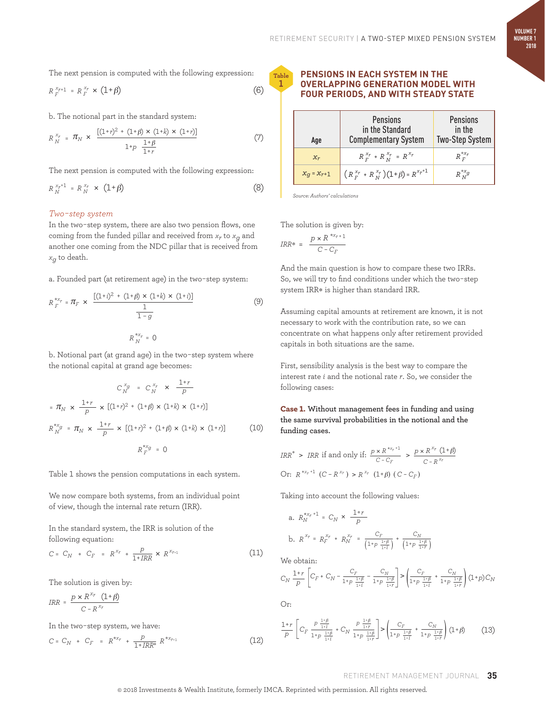The next pension is computed with the following expression:

$$
R_F^{x_{r+1}} = R_F^{x_r} \times (1+\beta) \tag{6}
$$

b. The notional part in the standard system:

$$
R_N^{x_r} = \pi_N \times \frac{[(1+r)^2 + (1+\beta) \times (1+k) \times (1+r)]}{1+p \frac{1+\beta}{1+r}}
$$
 (7)

The next pension is computed with the following expression:

$$
R_N^{x_r+1} = R_N^{x_r} \times (1+\beta)
$$
 (8)

#### *Two-step system*

In the two-step system, there are also two pension flows, one coming from the funded pillar and received from  $x_r$  to  $x_q$  and another one coming from the NDC pillar that is received from *xg* to death.

a. Founded part (at retirement age) in the two-step system:

$$
R_F^{*x_r} = \pi_F \times \frac{[(1+i)^2 + (1+\beta) \times (1+k) \times (1+i)]}{\frac{1}{1-g}}
$$
(9)  

$$
R_N^{*x_r} = 0
$$

b. Notional part (at grand age) in the two-step system where the notional capital at grand age becomes:

$$
C_N^{x_g} = C_N^{x_r} \times \frac{1+r}{p}
$$
  
=  $\pi_N \times \frac{1+r}{p} \times [(1+r)^2 + (1+\beta) \times (1+k) \times (1+r)]$   
 $R_N^{*x_g} = \pi_N \times \frac{1+r}{p} \times [(1+r)^2 + (1+\beta) \times (1+k) \times (1+r)]$  (10)  
 $R_X^{*x_g} = 0$ 

Table 1 shows the pension computations in each system.

We now compare both systems, from an individual point of view, though the internal rate return (IRR).

In the standard system, the IRR is solution of the following equation:

$$
C = C_N + C_F = R^{x_r} + \frac{p}{1 + IRR} \times R^{x_{r+1}}
$$
 (11)

The solution is given by:

$$
IRR = \frac{p \times R^{x_r} (1+\beta)}{C - R^{x_r}}
$$

In the two-step system, we have:

$$
C = C_N + C_F = R^{*x_r} + \frac{p}{1 + IRR^*} R^{*x_{r+1}}
$$
\n(12)

#### **PENSIONS IN EACH SYSTEM IN THE OVERLAPPING GENERATION MODEL WITH FOUR PERIODS, AND WITH STEADY STATE**

| Age             | <b>Pensions</b><br>in the Standard<br><b>Complementary System</b> | <b>Pensions</b><br>in the<br><b>Two-Step System</b> |  |
|-----------------|-------------------------------------------------------------------|-----------------------------------------------------|--|
| $x_r$           | $R_{F}^{x_r}$ + $R_{N}^{x_r}$ = $R_{Y}^{x_r}$                     | $R^{*x_r}_{F}$                                      |  |
| $x_g = x_{r+1}$ | $(R_{F}^{x_r} + R_{N}^{x_r})(1+\beta) = R^{x_r+1}$                | $R_{N}^{*x}g$                                       |  |

*Source: Authors' calculations*

The solution is given by:

$$
IRR* = \frac{p \times R^{*x_{r+1}}}{C - C_F}
$$

**Table 1**

> And the main question is how to compare these two IRRs. So, we will try to find conditions under which the two-step system IRR\* is higher than standard IRR.

Assuming capital amounts at retirement are known, it is not necessary to work with the contribution rate, so we can concentrate on what happens only after retirement provided capitals in both situations are the same.

First, sensibility analysis is the best way to compare the interest rate *i* and the notional rate *r*. So, we consider the following cases:

Case 1. **Without management fees in funding and using the same survival probabilities in the notional and the funding cases.**

$$
IRR^* > IRR \text{ if and only if: } \frac{p \times R^{*x_r+1}}{C - C_F} > \frac{p \times R^{x_r} (1+\beta)}{C - R^{x_r}}
$$
  
Or:  $R^{*x_r+1} (C - R^{x_r}) > R^{x_r} (1+\beta) (C - C_F)$ 

Taking into account the following values:

a. 
$$
R_N^{*x_r+1} = C_N \times \frac{1+r}{p}
$$
  
b.  $R^{x_r} = R_F^{x_r} + R_N^{x_r} = \frac{C_F}{\left(1+p\frac{1+\beta}{1+t}\right)} + \frac{C_N}{\left(1+p\frac{1+\beta}{1+t}\right)}$ 

We obtain:

$$
C_N \ \frac{1+r}{p} \left[ C_F \ + \ C_N - \frac{C_F}{1+p} \ - \frac{C_N}{1+p} \ \frac{1+p}{1+r} \right] \!\! > \!\! \left( \! \frac{C_F}{1+p} \ + \frac{C_N}{1+p} \ \frac{1+p}{1+r} \right) \! \left( \! 1+p \right) \! C_N
$$

Or:

$$
\frac{1+r}{p} \left[ C_F \frac{p \frac{1+\beta}{1+\beta}}{1+p \frac{1+\beta}{1+\beta}} + C_N \frac{p \frac{1+\beta}{1+\beta}}{1+p \frac{1+\beta}{1+\beta}} \right] > \left( \frac{C_F}{1+p \frac{1+\beta}{1+\beta}} + \frac{C_N}{1+p \frac{1+\beta}{1+\beta}} \right) (1+\beta) \tag{13}
$$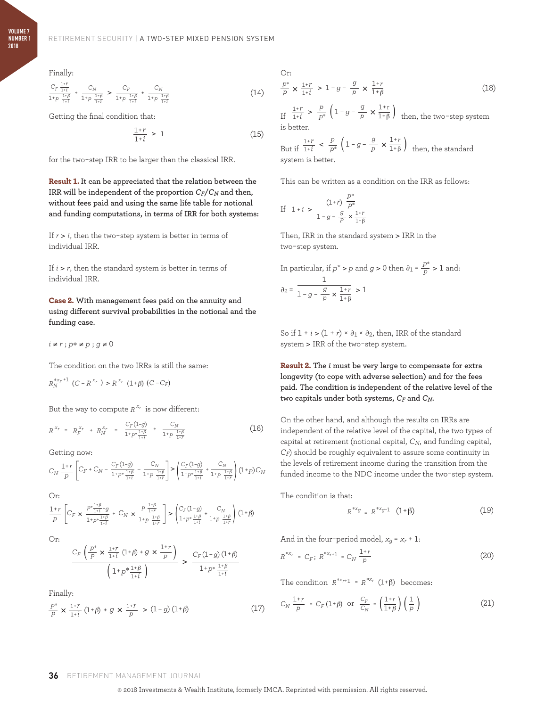Finally:

$$
\frac{C_F \frac{1+r}{1+i}}{1+p \frac{1+\beta}{1+i}} + \frac{C_N}{1+p \frac{1+\beta}{1+i}} > \frac{C_F}{1+p \frac{1+\beta}{1+i}} + \frac{C_N}{1+p \frac{1+\beta}{1+i}}
$$
(14)

Getting the final condition that:

$$
\frac{1+r}{1+i} > 1\tag{15}
$$

for the two-step IRR to be larger than the classical IRR.

Result 1. **It can be appreciated that the relation between the IRR** will be independent of the proportion  $C_F/C_N$  and then, **without fees paid and using the same life table for notional and funding computations, in terms of IRR for both systems:**

If  $r > i$ , then the two-step system is better in terms of individual IRR.

If  $i > r$ , then the standard system is better in terms of individual IRR.

Case 2. **With management fees paid on the annuity and using different survival probabilities in the notional and the funding case.**

*i* ≠ *r* ; *p*∗ ≠ *p* ; *g* ≠ 0

The condition on the two IRRs is still the same:

 $R_N^{*x_r+1}$  (*C* – *R*<sup>*x<sub>r</sub>*</sup>) > *R*<sup>*x<sub>r</sub>*</sup> (1+*β*) (*C* – *C<sub>F</sub>*)

But the way to compute  $R^{x_r}$  is now different:

$$
R^{x_r} = R_r^{x_r} + R_N^{x_r} = \frac{C_r (1-g)}{1 + p^* \frac{1+\beta}{1+i}} + \frac{C_N}{1 + p^* \frac{1+\beta}{1+r}}
$$
(16)

Getting now:

$$
C_N \ \frac{1+r}{p} \left[ C_F + C_N - \frac{C_F(1-g)}{1 + p^* \ \frac{1+\beta}{1+i}} \ - \ \frac{C_N}{1 + p \ \frac{1+\beta}{1+r}} \right] > \left( \frac{C_F(1-g)}{1 + p^* \frac{1+\beta}{1+i}} + \frac{C_N}{1 + p \ \frac{1+\beta}{1+r}} \right) (1+p) \ C_N
$$

Or:

$$
\frac{1+r}{p}\left[C_F\times\frac{P^{*\frac{1+\beta}{1+\beta}+g}}{1+p^{*\frac{1+\beta}{1+\beta}}}+C_N\times\frac{P^{-\frac{1+\beta}{1+r}}}{1+p^{-\frac{1+\beta}{1+r}}}\right]>\left(\frac{C_F(1-g)}{1+p^{*\frac{1+\beta}{1+\beta}}}+\frac{C_N}{1+p^{-\frac{1+\beta}{1+r}}}\right)(1+\beta)
$$

Or:

$$
\frac{C_F\left(\frac{P^*}{P}\times\frac{1+r}{1+i}\left(1+\beta\right)+g\times\frac{1+r}{P}\right)}{\left(1+p^*\frac{1+\beta}{1+i}\right)}\,>\,\frac{C_F\left(1-g\right)\left(1+\beta\right)}{1+p^*\frac{1+\beta}{1+i}}\,
$$

Finally:

$$
\frac{p^*}{p} \times \frac{1+r}{1+i} \left(1+\beta\right) + g \times \frac{1+r}{p} > \left(1-g\right)\left(1+\beta\right) \tag{17}
$$

Or:  
\n
$$
\frac{p^*}{p} \times \frac{1+r}{1+i} > 1-g - \frac{g}{p} \times \frac{1+r}{1+\beta}
$$
\n(18)

If  $\frac{1+r}{1+i}$  >  $\frac{p}{p^*}$   $\left(1-g-\frac{g}{p} \times \frac{1+r}{1+\beta}\right)$ *p*  $\frac{g}{p}$   $\times$   $\frac{1+r}{1+\beta}$  then, the two-step system is better.

But if  $\frac{1+r}{1+i} < \frac{p}{p^*} \left( 1 - g - \frac{g}{p} \times \frac{1+r}{1+\beta} \right)$ *p*  $\frac{g}{p} \times \frac{1+r}{1+\beta}$  then, the standard system is better.

This can be written as a condition on the IRR as follows:

If 
$$
1+i > \frac{(1+r)\frac{p^*}{p^*}}{1-q-\frac{g}{p} \times \frac{1+r}{1+\beta}}
$$

Then, IRR in the standard system > IRR in the two-step system.

In particular, if 
$$
p^* > p
$$
 and  $g > 0$  then  $\partial_1 = \frac{p^*}{p} > 1$  and:  

$$
\partial_2 = \frac{1}{1 - g - \frac{g}{p} \times \frac{1 + r}{1 + \beta}} > 1
$$

So if  $1 + i > (1 + r) \times \partial_1 \times \partial_2$ , then, IRR of the standard system > IRR of the two-step system.

Result 2. **The** *i* **must be very large to compensate for extra longevity (to cope with adverse selection) and for the fees paid. The condition is independent of the relative level of the two capitals under both systems,** *CF* **and** *CN***.**

On the other hand, and although the results on IRRs are independent of the relative level of the capital, the two types of capital at retirement (notional capital, *CN*, and funding capital, *CF*) should be roughly equivalent to assure some continuity in the levels of retirement income during the transition from the funded income to the NDC income under the two-step system.

The condition is that:

$$
R^{*xg} = R^{*xg-1} (1+\beta)
$$
 (19)

And in the four-period model,  $x_g = x_r + 1$ :

$$
R^{*x_r} = C_F; R^{*x_{r+1}} = C_N \frac{1+r}{p}
$$
 (20)

The condition  $R^{*x_{r+1}} = R^{*x_r} (1+\beta)$  becomes:

$$
C_N \frac{1+r}{p} = C_F (1+\beta) \text{ or } \frac{C_F}{C_N} = \left(\frac{1+r}{1+\beta}\right) \left(\frac{1}{p}\right)
$$
 (21)

#### **36** RETIREMENT MANAGEMENT JOURNAL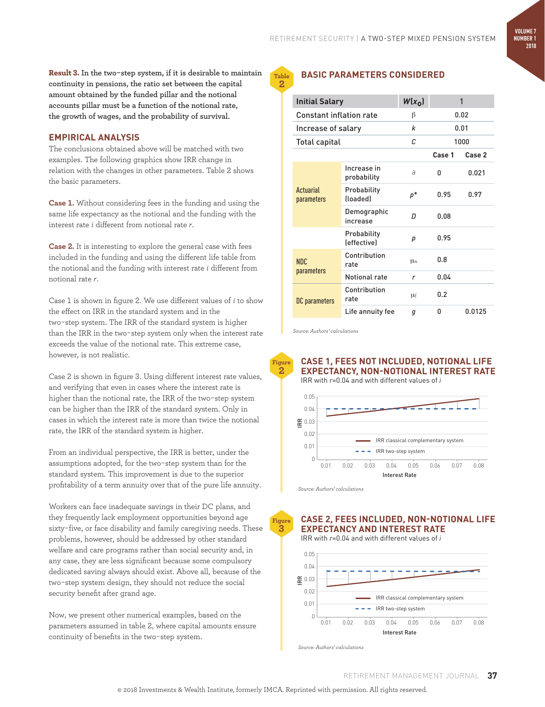**VOLUME 7 NUMBER 1 2018**

Result 3. **In the two-step system, if it is desirable to maintain continuity in pensions, the ratio set between the capital amount obtained by the funded pillar and the notional accounts pillar must be a function of the notional rate, the growth of wages, and the probability of survival.**

#### **EMPIRICAL ANALYSIS**

The conclusions obtained above will be matched with two examples. The following graphics show IRR change in relation with the changes in other parameters. Table 2 shows the basic parameters.

**Case 1.** Without considering fees in the funding and using the same life expectancy as the notional and the funding with the interest rate *i* different from notional rate *r*.

**Case 2.** It is interesting to explore the general case with fees included in the funding and using the different life table from the notional and the funding with interest rate *i* different from notional rate *r*.

Case 1 is shown in figure 2. We use different values of *i* to show the effect on IRR in the standard system and in the two-step system. The IRR of the standard system is higher than the IRR in the two-step system only when the interest rate exceeds the value of the notional rate. This extreme case, however, is not realistic.

Case 2 is shown in figure 3. Using different interest rate values, and verifying that even in cases where the interest rate is higher than the notional rate, the IRR of the two-step system can be higher than the IRR of the standard system. Only in cases in which the interest rate is more than twice the notional rate, the IRR of the standard system is higher.

From an individual perspective, the IRR is better, under the assumptions adopted, for the two-step system than for the standard system. This improvement is due to the superior profitability of a term annuity over that of the pure life annuity.

Workers can face inadequate savings in their DC plans, and they frequently lack employment opportunities beyond age sixty-five, or face disability and family caregiving needs. These problems, however, should be addressed by other standard welfare and care programs rather than social security and, in any case, they are less significant because some compulsory dedicated saving always should exist. Above all, because of the two-step system design, they should not reduce the social security benefit after grand age.

Now, we present other numerical examples, based on the parameters assumed in table 2, where capital amounts ensure continuity of benefits in the two-step system.

#### **Table**

**2**

#### **BASIC PARAMETERS CONSIDERED**

| <b>Initial Salary</b>   |                                                 | $W(x_0)$   | 1      |        |
|-------------------------|-------------------------------------------------|------------|--------|--------|
| Constant inflation rate |                                                 | β          | 0.02   |        |
| Increase of salary      |                                                 | k          | 0.01   |        |
| <b>Total capital</b>    |                                                 | C.         | 1000   |        |
|                         |                                                 |            | Case 1 | Case 2 |
| Actuarial<br>parameters | Increase in<br>probability                      | a          | ۵      | 0.021  |
|                         | Probability<br>(loaded)                         | $p^*$      | 0.95   | 0.97   |
|                         | Demographic<br>increase                         | D          | 0.08   |        |
|                         | Probability<br><i><u><b>Seffectivel</b></u></i> | р          | 0.95   |        |
| NDC.<br>parameters      | Contribution<br>rate                            | $\mu_n$    | 0.8    |        |
|                         | Notional rate                                   | r          | 0.04   |        |
| DC parameters           | Contribution<br>rate                            | <b>LLf</b> | 0.2    |        |
|                         | Life annuity fee                                | q          | ۵      | 0.0125 |

*Source: Authors' calculations*



**Figure 3**

#### **CASE 1, FEES NOT INCLUDED, NOTIONAL LIFE EXPECTANCY, NON-NOTIONAL INTEREST RATE**

IRR with *r*=0.04 and with different values of *i*



*Source: Authors' calculations*

**CASE 2, FEES INCLUDED, NON-NOTIONAL LIFE EXPECTANCY AND INTEREST RATE**

IRR with *r*=0.04 and with different values of *i*

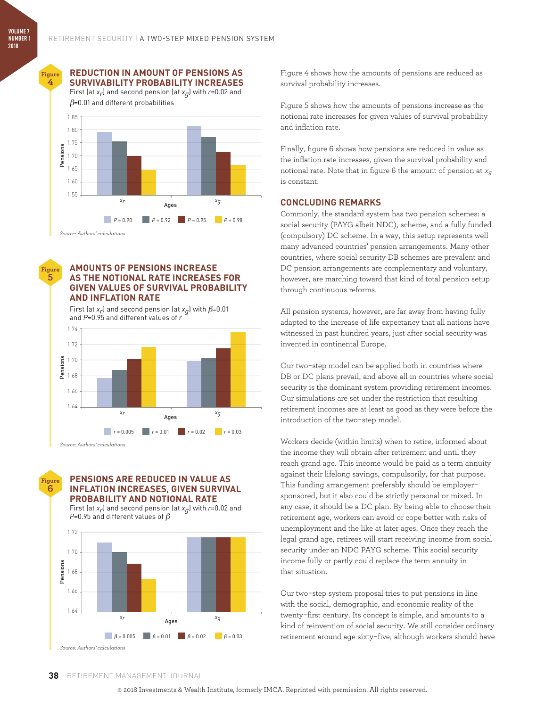**Figure 4**

#### **REDUCTION IN AMOUNT OF PENSIONS AS SURVIVABILITY PROBABILITY INCREASES**

First (at *xr*) and second pension (at *xg*) with *r*=0.02 and  $\beta$ =0.01 and different probabilities



#### **AMOUNTS OF PENSIONS INCREASE AS THE NOTIONAL RATE INCREASES FOR GIVEN VALUES OF SURVIVAL PROBABILITY AND INFLATION RATE**

First (at  $x_r$ ) and second pension (at  $x_q$ ) with  $\beta$ =0.01 and *P*=0.95 and different values of *r*



**Figure 6**

**Figure 5**

#### **PENSIONS ARE REDUCED IN VALUE AS INFLATION INCREASES, GIVEN SURVIVAL PROBABILITY AND NOTIONAL RATE**

First (at *xr*) and second pension (at *xg*) with *r*=0.02 and *P*=0.95 and different values of β



Figure 4 shows how the amounts of pensions are reduced as survival probability increases.

Figure 5 shows how the amounts of pensions increase as the notional rate increases for given values of survival probability and inflation rate.

Finally, figure 6 shows how pensions are reduced in value as the inflation rate increases, given the survival probability and notional rate. Note that in figure 6 the amount of pension at *xg* is constant.

#### **CONCLUDING REMARKS**

Commonly, the standard system has two pension schemes: a social security (PAYG albeit NDC), scheme, and a fully funded (compulsory) DC scheme. In a way, this setup represents well many advanced countries' pension arrangements. Many other countries, where social security DB schemes are prevalent and DC pension arrangements are complementary and voluntary, however, are marching toward that kind of total pension setup through continuous reforms.

All pension systems, however, are far away from having fully adapted to the increase of life expectancy that all nations have witnessed in past hundred years, just after social security was invented in continental Europe.

Our two-step model can be applied both in countries where DB or DC plans prevail, and above all in countries where social security is the dominant system providing retirement incomes. Our simulations are set under the restriction that resulting retirement incomes are at least as good as they were before the introduction of the two-step model.

Workers decide (within limits) when to retire, informed about the income they will obtain after retirement and until they reach grand age. This income would be paid as a term annuity against their lifelong savings, compulsorily, for that purpose. This funding arrangement preferably should be employersponsored, but it also could be strictly personal or mixed. In any case, it should be a DC plan. By being able to choose their retirement age, workers can avoid or cope better with risks of unemployment and the like at later ages. Once they reach the legal grand age, retirees will start receiving income from social security under an NDC PAYG scheme. This social security income fully or partly could replace the term annuity in that situation.

Our two-step system proposal tries to put pensions in line with the social, demographic, and economic reality of the twenty-first century. Its concept is simple, and amounts to a kind of reinvention of social security. We still consider ordinary retirement around age sixty-five, although workers should have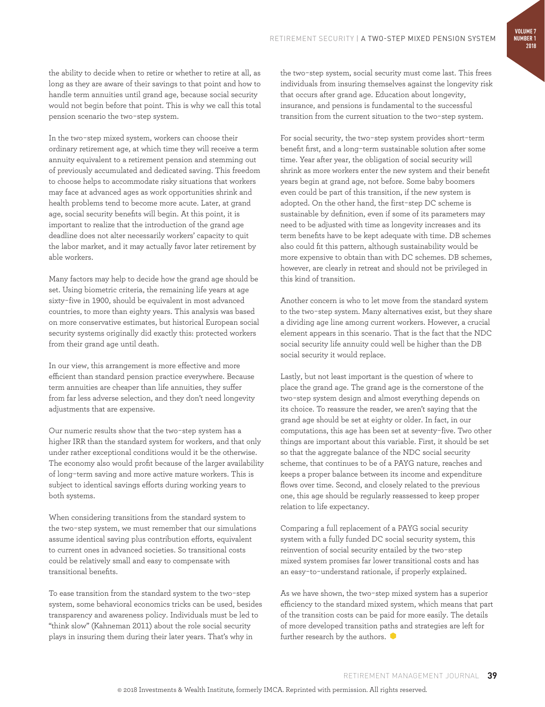the ability to decide when to retire or whether to retire at all, as long as they are aware of their savings to that point and how to handle term annuities until grand age, because social security would not begin before that point. This is why we call this total pension scenario the two-step system.

In the two-step mixed system, workers can choose their ordinary retirement age, at which time they will receive a term annuity equivalent to a retirement pension and stemming out of previously accumulated and dedicated saving. This freedom to choose helps to accommodate risky situations that workers may face at advanced ages as work opportunities shrink and health problems tend to become more acute. Later, at grand age, social security benefits will begin. At this point, it is important to realize that the introduction of the grand age deadline does not alter necessarily workers' capacity to quit the labor market, and it may actually favor later retirement by able workers.

Many factors may help to decide how the grand age should be set. Using biometric criteria, the remaining life years at age sixty-five in 1900, should be equivalent in most advanced countries, to more than eighty years. This analysis was based on more conservative estimates, but historical European social security systems originally did exactly this: protected workers from their grand age until death.

In our view, this arrangement is more effective and more efficient than standard pension practice everywhere. Because term annuities are cheaper than life annuities, they suffer from far less adverse selection, and they don't need longevity adjustments that are expensive.

Our numeric results show that the two-step system has a higher IRR than the standard system for workers, and that only under rather exceptional conditions would it be the otherwise. The economy also would profit because of the larger availability of long-term saving and more active mature workers. This is subject to identical savings efforts during working years to both systems.

When considering transitions from the standard system to the two-step system, we must remember that our simulations assume identical saving plus contribution efforts, equivalent to current ones in advanced societies. So transitional costs could be relatively small and easy to compensate with transitional benefits.

To ease transition from the standard system to the two-step system, some behavioral economics tricks can be used, besides transparency and awareness policy. Individuals must be led to "think slow" (Kahneman 2011) about the role social security plays in insuring them during their later years. That's why in

the two-step system, social security must come last. This frees individuals from insuring themselves against the longevity risk that occurs after grand age. Education about longevity, insurance, and pensions is fundamental to the successful transition from the current situation to the two-step system.

For social security, the two-step system provides short-term benefit first, and a long-term sustainable solution after some time. Year after year, the obligation of social security will shrink as more workers enter the new system and their benefit years begin at grand age, not before. Some baby boomers even could be part of this transition, if the new system is adopted. On the other hand, the first-step DC scheme is sustainable by definition, even if some of its parameters may need to be adjusted with time as longevity increases and its term benefits have to be kept adequate with time. DB schemes also could fit this pattern, although sustainability would be more expensive to obtain than with DC schemes. DB schemes, however, are clearly in retreat and should not be privileged in this kind of transition.

Another concern is who to let move from the standard system to the two-step system. Many alternatives exist, but they share a dividing age line among current workers. However, a crucial element appears in this scenario. That is the fact that the NDC social security life annuity could well be higher than the DB social security it would replace.

Lastly, but not least important is the question of where to place the grand age. The grand age is the cornerstone of the two-step system design and almost everything depends on its choice. To reassure the reader, we aren't saying that the grand age should be set at eighty or older. In fact, in our computations, this age has been set at seventy-five. Two other things are important about this variable. First, it should be set so that the aggregate balance of the NDC social security scheme, that continues to be of a PAYG nature, reaches and keeps a proper balance between its income and expenditure flows over time. Second, and closely related to the previous one, this age should be regularly reassessed to keep proper relation to life expectancy.

Comparing a full replacement of a PAYG social security system with a fully funded DC social security system, this reinvention of social security entailed by the two-step mixed system promises far lower transitional costs and has an easy-to-understand rationale, if properly explained.

As we have shown, the two-step mixed system has a superior efficiency to the standard mixed system, which means that part of the transition costs can be paid for more easily. The details of more developed transition paths and strategies are left for further research by the authors.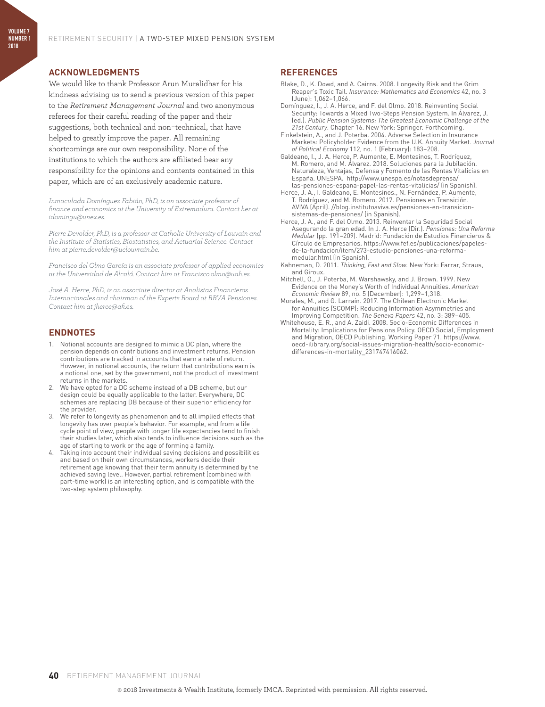#### **ACKNOWLEDGMENTS**

**VOLUME 7 NUMBER 1 2018**

> We would like to thank Professor Arun Muralidhar for his kindness advising us to send a previous version of this paper to the *Retirement Management Journal* and two anonymous referees for their careful reading of the paper and their suggestions, both technical and non-technical, that have helped to greatly improve the paper. All remaining shortcomings are our own responsibility. None of the institutions to which the authors are affiliated bear any responsibility for the opinions and contents contained in this paper, which are of an exclusively academic nature.

> *Inmaculada Domínguez Fabián, PhD, is an associate professor of finance and economics at the University of Extremadura. Contact her at idomingu@unex.es.*

*Pierre Devolder, PhD, is a professor at Catholic University of Louvain and the Institute of Statistics, Biostatistics, and Actuarial Science. Contact him at pierre.devolder@uclouvrain.be.*

*Francisco del Olmo García is an associate professor of applied economics at the Universidad de Alcalá. Contact him at Francisco.olmo@uah.es.*

*José A. Herce, PhD, is an associate director at Analistas Financieros Internacionales and chairman of the Experts Board at BBVA Pensiones. Contact him at jherce@afi.es.*

#### **ENDNOTES**

- 1. Notional accounts are designed to mimic a DC plan, where the pension depends on contributions and investment returns. Pension contributions are tracked in accounts that earn a rate of return. However, in notional accounts, the return that contributions earn is a notional one, set by the government, not the product of investment returns in the markets.
- 2. We have opted for a DC scheme instead of a DB scheme, but our design could be equally applicable to the latter. Everywhere, DC schemes are replacing DB because of their superior efficiency for the provider.
- 3. We refer to longevity as phenomenon and to all implied effects that longevity has over people's behavior. For example, and from a life cycle point of view, people with longer life expectancies tend to finish their studies later, which also tends to influence decisions such as the age of starting to work or the age of forming a family.
- 4. Taking into account their individual saving decisions and possibilities and based on their own circumstances, workers decide their retirement age knowing that their term annuity is determined by the achieved saving level. However, partial retirement (combined with part-time work) is an interesting option, and is compatible with the two-step system philosophy.

#### **REFERENCES**

- Blake, D., K. Dowd, and A. Cairns. 2008. Longevity Risk and the Grim Reaper's Toxic Tail. *Insurance: Mathematics and Economics* 42, no. 3 (June): 1,062–1,066.
- Domínguez, I., J. A. Herce, and F. del Olmo. 2018. Reinventing Social Security: Towards a Mixed Two-Steps Pension System. In Álvarez, J. (ed.). *Public Pension Systems: The Greatest Economic Challenge of the 21st Century*. Chapter 16. New York: Springer. Forthcoming.
- Finkelstein, A., and J. Poterba. 2004. Adverse Selection in Insurance Markets: Policyholder Evidence from the U.K. Annuity Market. *Journal of Political Economy* 112, no. 1 (February): 183–208.
- Galdeano, I., J. A. Herce, P. Aumente, E. Montesinos, T. Rodríguez, M. Romero, and M. Álvarez. 2018. Soluciones para la Jubilación. Naturaleza, Ventajas, Defensa y Fomento de las Rentas Vitalicias en España. UNESPA. http://www.unespa.es/notasdeprensa/ las-pensiones-espana-papel-las-rentas-vitalicias/ (in Spanish).
- Herce, J. A., I. Galdeano, E. Montesinos., N. Fernández, P. Aumente, T. Rodríguez, and M. Romero. 2017. Pensiones en Transición. AVIVA (April). //blog.institutoaviva.es/pensiones-en-transicionsistemas-de-pensiones/ (in Spanish).
- Herce, J. A., and F. del Olmo. 2013. Reinventar la Seguridad Social Asegurando la gran edad. In J. A. Herce (Dir.). *Pensiones: Una Reforma Medular* (pp. 191–209). Madrid: Fundación de Estudios Financieros & Círculo de Empresarios. https://www.fef.es/publicaciones/papelesde-la-fundacion/item/273-estudio-pensiones-una-reformamedular.html (in Spanish).
- Kahneman, D. 2011. *Thinking, Fast and Slow.* New York: Farrar, Straus, and Giroux.
- Mitchell, O., J. Poterba, M. Warshawsky, and J. Brown. 1999. New Evidence on the Money's Worth of Individual Annuities. *American Economic Review* 89, no. 5 (December): 1,299–1,318.
- Morales, M., and G. Larraín. 2017. The Chilean Electronic Market for Annuities (SCOMP): Reducing Information Asymmetries and Improving Competition. *The Geneva Papers* 42, no. 3: 389–405.
- Whitehouse, E. R., and A. Zaidi. 2008. Socio-Economic Differences in Mortality: Implications for Pensions Policy. OECD Social, Employment and Migration, OECD Publishing. Working Paper 71. https://www. oecd-ilibrary.org/social-issues-migration-health/socio-economicdifferences-in-mortality\_231747416062.